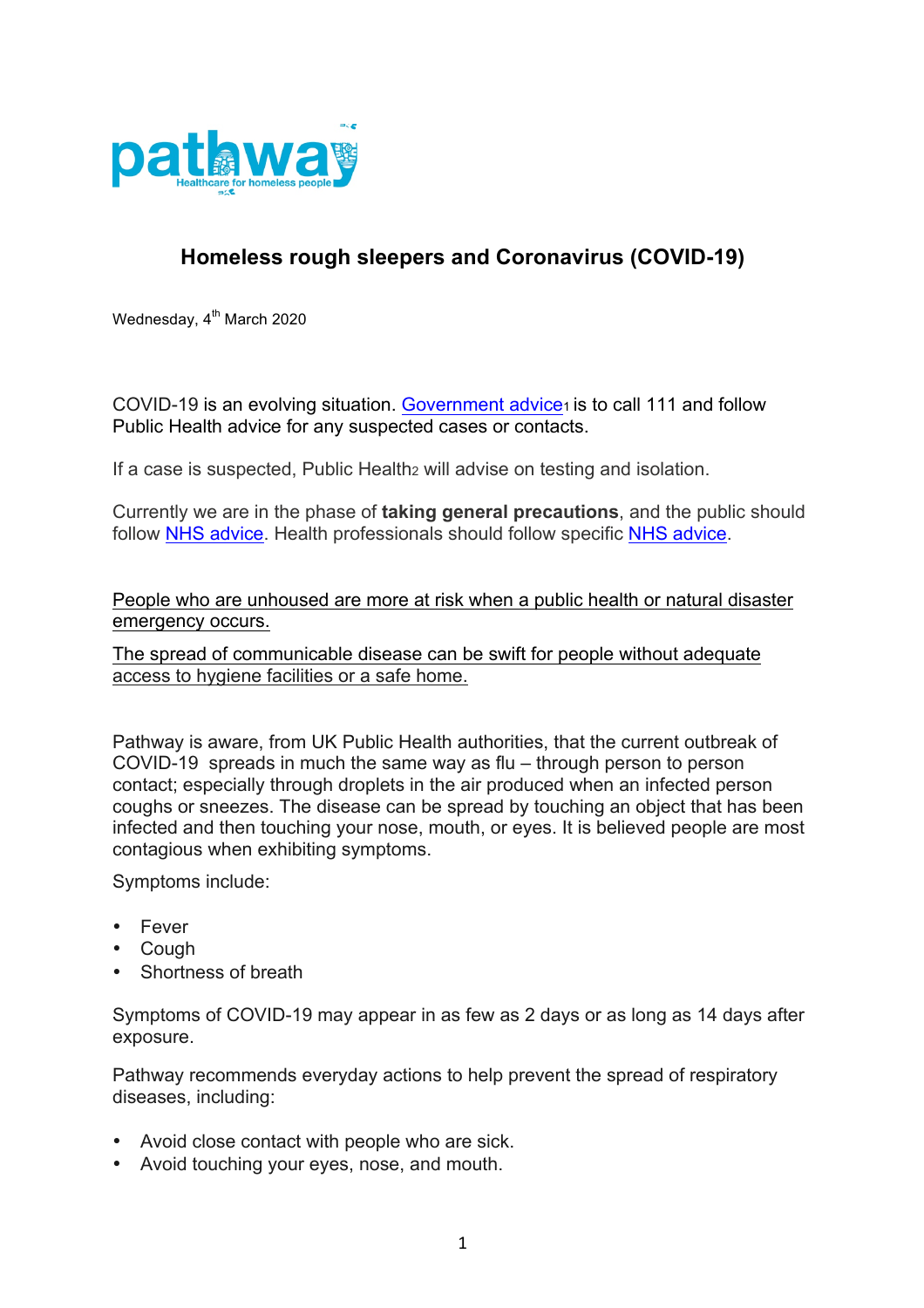

## **Homeless rough sleepers and Coronavirus (COVID-19)**

Wednesday, 4<sup>th</sup> March 2020

COVID-19 is an evolving situation. Government advice<sub>1</sub> is to call 111 and follow Public Health advice for any suspected cases or contacts.

If a case is suspected. Public Health<sub>2</sub> will advise on testing and isolation.

Currently we are in the phase of **taking general precautions**, and the public should follow NHS advice. Health professionals should follow specific NHS advice.

People who are unhoused are more at risk when a public health or natural disaster emergency occurs.

The spread of communicable disease can be swift for people without adequate access to hygiene facilities or a safe home.

Pathway is aware, from UK Public Health authorities, that the current outbreak of COVID-19 spreads in much the same way as flu – through person to person contact; especially through droplets in the air produced when an infected person coughs or sneezes. The disease can be spread by touching an object that has been infected and then touching your nose, mouth, or eyes. It is believed people are most contagious when exhibiting symptoms.

Symptoms include:

- Fever
- Cough
- Shortness of breath

Symptoms of COVID-19 may appear in as few as 2 days or as long as 14 days after exposure.

Pathway recommends everyday actions to help prevent the spread of respiratory diseases, including:

- Avoid close contact with people who are sick.
- Avoid touching your eyes, nose, and mouth.